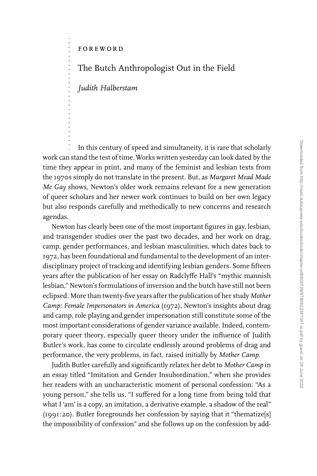## **FOREWORD**

The Butch Anthropologist Out in the Field

Judith Halberstam

In this century of speed and simultaneity, it is rare that scholarly work can stand the test of time.Works written yesterday can look dated by the time they appear in print, and many of the feminist and lesbian texts from the 1970s simply do not translate in the present. But, as Margaret Mead Made Me Gay shows, Newton's older work remains relevant for a new generation of queer scholars and her newer work continues to build on her own legacy but also responds carefully and methodically to new concerns and research agendas.

Newton has clearly been one of the most important figures in gay, lesbian, and transgender studies over the past two decades, and her work on drag, camp, gender performances, and lesbian masculinities, which dates back to 1972, has been foundational and fundamental to the development of an interdisciplinary project of tracking and identifying lesbian genders. Some fifteen years after the publication of her essay on Radclyffe Hall's ''mythic mannish lesbian,'' Newton's formulations of inversion and the butch have still not been eclipsed. More than twenty-five years after the publication of her study Mother Camp: Female Impersonators in America (1972), Newton's insights about drag and camp, role playing and gender impersonation still constitute some of the most important considerations of gender variance available. Indeed, contemporary queer theory, especially queer theory under the influence of Judith Butler's work, has come to circulate endlessly around problems of drag and performance, the very problems, in fact, raised initially by Mother Camp.

Judith Butler carefully and significantly relates her debt to Mother Camp in an essay titled ''Imitation and Gender Insubordination,'' when she provides her readers with an uncharacteristic moment of personal confession: ''As a young person,'' she tells us, ''I suffered for a long time from being told that what I 'am' is a copy, an imitation, a derivative example, a shadow of the real'' (1991:20). Butler foregrounds her confession by saying that it "thematize[s] the impossibility of confession'' and she follows up on the confession by add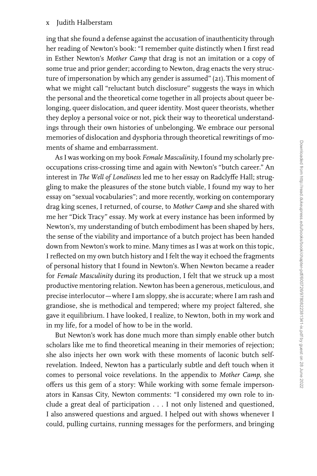ing that she found a defense against the accusation of inauthenticity through her reading of Newton's book: ''I remember quite distinctly when I first read in Esther Newton's Mother Camp that drag is not an imitation or a copy of some true and prior gender; according to Newton, drag enacts the very structure of impersonation by which any gender is assumed"  $(21)$ . This moment of what we might call "reluctant butch disclosure" suggests the ways in which the personal and the theoretical come together in all projects about queer belonging, queer dislocation, and queer identity. Most queer theorists, whether they deploy a personal voice or not, pick their way to theoretical understandings through their own histories of unbelonging. We embrace our personal memories of dislocation and dysphoria through theoretical rewritings of moments of shame and embarrassment.

As I was working on my book Female Masculinity, I found my scholarly preoccupations criss-crossing time and again with Newton's ''butch career.'' An interest in The Well of Loneliness led me to her essay on Radclyffe Hall; struggling to make the pleasures of the stone butch viable, I found my way to her essay on ''sexual vocabularies''; and more recently, working on contemporary drag king scenes, I returned, of course, to Mother Camp and she shared with me her ''Dick Tracy'' essay. My work at every instance has been informed by Newton's, my understanding of butch embodiment has been shaped by hers, the sense of the viability and importance of a butch project has been handed down from Newton's work to mine. Many times as I was at work on this topic, I reflected on my own butch history and I felt the way it echoed the fragments of personal history that I found in Newton's. When Newton became a reader for Female Masculinity during its production, I felt that we struck up a most productive mentoring relation. Newton has been a generous, meticulous, and precise interlocutor—where I am sloppy, she is accurate; where I am rash and grandiose, she is methodical and tempered; where my project faltered, she gave it equilibrium. I have looked, I realize, to Newton, both in my work and in my life, for a model of how to be in the world.

But Newton's work has done much more than simply enable other butch scholars like me to find theoretical meaning in their memories of rejection; she also injects her own work with these moments of laconic butch selfrevelation. Indeed, Newton has a particularly subtle and deft touch when it comes to personal voice revelations. In the appendix to Mother Camp, she offers us this gem of a story: While working with some female impersonators in Kansas City, Newton comments: ''I considered my own role to include a great deal of participation . . . I not only listened and questioned, I also answered questions and argued. I helped out with shows whenever I could, pulling curtains, running messages for the performers, and bringing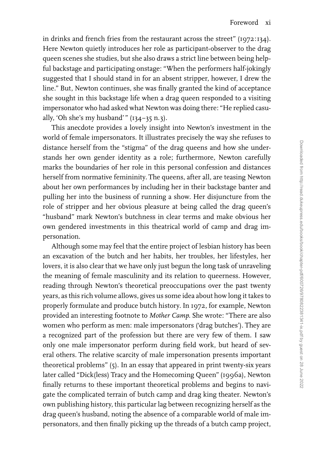in drinks and french fries from the restaurant across the street"  $(1972:134)$ . Here Newton quietly introduces her role as participant-observer to the drag queen scenes she studies, but she also draws a strict line between being helpful backstage and participating onstage: ''When the performers half-jokingly suggested that I should stand in for an absent stripper, however, I drew the line.'' But, Newton continues, she was finally granted the kind of acceptance she sought in this backstage life when a drag queen responded to a visiting impersonator who had asked what Newton was doing there: ''He replied casually, 'Oh she's my husband'"  $(134-35 n.3)$ .

This anecdote provides a lovely insight into Newton's investment in the world of female impersonators. It illustrates precisely the way she refuses to distance herself from the "stigma" of the drag queens and how she understands her own gender identity as a role; furthermore, Newton carefully marks the boundaries of her role in this personal confession and distances herself from normative femininity. The queens, after all, are teasing Newton about her own performances by including her in their backstage banter and pulling her into the business of running a show. Her disjuncture from the role of stripper and her obvious pleasure at being called the drag queen's ''husband'' mark Newton's butchness in clear terms and make obvious her own gendered investments in this theatrical world of camp and drag impersonation.

Although some may feel that the entire project of lesbian history has been an excavation of the butch and her habits, her troubles, her lifestyles, her lovers, it is also clear that we have only just begun the long task of unraveling the meaning of female masculinity and its relation to queerness. However, reading through Newton's theoretical preoccupations over the past twenty years, as this rich volume allows, gives us some idea about how long it takes to properly formulate and produce butch history. In 1972, for example, Newton provided an interesting footnote to Mother Camp. She wrote: ''There are also women who perform as men: male impersonators ('drag butches'). They are a recognized part of the profession but there are very few of them. I saw only one male impersonator perform during field work, but heard of several others. The relative scarcity of male impersonation presents important theoretical problems"  $(5)$ . In an essay that appeared in print twenty-six years later called "Dick(less) Tracy and the Homecoming Queen" (1996a), Newton finally returns to these important theoretical problems and begins to navigate the complicated terrain of butch camp and drag king theater. Newton's own publishing history, this particular lag between recognizing herself as the drag queen's husband, noting the absence of a comparable world of male impersonators, and then finally picking up the threads of a butch camp project,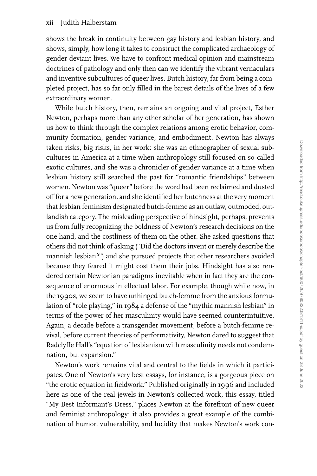shows the break in continuity between gay history and lesbian history, and shows, simply, how long it takes to construct the complicated archaeology of gender-deviant lives. We have to confront medical opinion and mainstream doctrines of pathology and only then can we identify the vibrant vernaculars and inventive subcultures of queer lives. Butch history, far from being a completed project, has so far only filled in the barest details of the lives of a few extraordinary women.

While butch history, then, remains an ongoing and vital project, Esther Newton, perhaps more than any other scholar of her generation, has shown us how to think through the complex relations among erotic behavior, community formation, gender variance, and embodiment. Newton has always taken risks, big risks, in her work: she was an ethnographer of sexual subcultures in America at a time when anthropology still focused on so-called exotic cultures, and she was a chronicler of gender variance at a time when lesbian history still searched the past for ''romantic friendships'' between women. Newton was "queer" before the word had been reclaimed and dusted off for a new generation, and she identified her butchness at the very moment that lesbian feminism designated butch-femme as an outlaw, outmoded, outlandish category. The misleading perspective of hindsight, perhaps, prevents us from fully recognizing the boldness of Newton's research decisions on the one hand, and the costliness of them on the other. She asked questions that others did not think of asking (''Did the doctors invent or merely describe the mannish lesbian?'') and she pursued projects that other researchers avoided because they feared it might cost them their jobs. Hindsight has also rendered certain Newtonian paradigms inevitable when in fact they are the consequence of enormous intellectual labor. For example, though while now, in the 1990s, we seem to have unhinged butch-femme from the anxious formulation of "role playing," in 1984 a defense of the "mythic mannish lesbian" in terms of the power of her masculinity would have seemed counterintuitive. Again, a decade before a transgender movement, before a butch-femme revival, before current theories of performativity, Newton dared to suggest that Radclyffe Hall's "equation of lesbianism with masculinity needs not condemnation, but expansion.''

Newton's work remains vital and central to the fields in which it participates. One of Newton's very best essays, for instance, is a gorgeous piece on "the erotic equation in fieldwork." Published originally in 1996 and included here as one of the real jewels in Newton's collected work, this essay, titled ''My Best Informant's Dress,'' places Newton at the forefront of new queer and feminist anthropology; it also provides a great example of the combination of humor, vulnerability, and lucidity that makes Newton's work con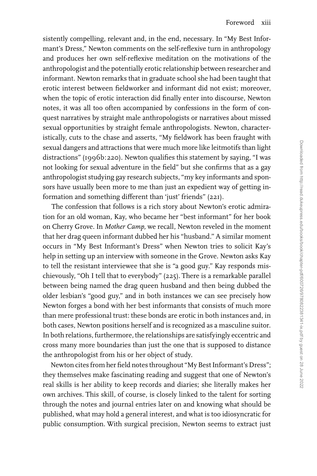sistently compelling, relevant and, in the end, necessary. In "My Best Informant's Dress,'' Newton comments on the self-reflexive turn in anthropology and produces her own self-reflexive meditation on the motivations of the anthropologist and the potentially erotic relationship between researcher and informant. Newton remarks that in graduate school she had been taught that erotic interest between fieldworker and informant did not exist; moreover, when the topic of erotic interaction did finally enter into discourse, Newton notes, it was all too often accompanied by confessions in the form of conquest narratives by straight male anthropologists or narratives about missed sexual opportunities by straight female anthropologists. Newton, characteristically, cuts to the chase and asserts, ''My fieldwork has been fraught with sexual dangers and attractions that were much more like leitmotifs than light distractions" (1996b:220). Newton qualifies this statement by saying, "I was not looking for sexual adventure in the field'' but she confirms that as a gay anthropologist studying gay research subjects, ''my key informants and sponsors have usually been more to me than just an expedient way of getting information and something different than 'just' friends" (221).

The confession that follows is a rich story about Newton's erotic admiration for an old woman, Kay, who became her ''best informant'' for her book on Cherry Grove. In Mother Camp, we recall, Newton reveled in the moment that her drag queen informant dubbed her his ''husband.'' A similar moment occurs in ''My Best Informant's Dress'' when Newton tries to solicit Kay's help in setting up an interview with someone in the Grove. Newton asks Kay to tell the resistant interviewee that she is "a good guy." Kay responds mischievously, "Oh I tell that to everybody" (225). There is a remarkable parallel between being named the drag queen husband and then being dubbed the older lesbian's ''good guy,'' and in both instances we can see precisely how Newton forges a bond with her best informants that consists of much more than mere professional trust: these bonds are erotic in both instances and, in both cases, Newton positions herself and is recognized as a masculine suitor. In both relations, furthermore, the relationships are satisfyingly eccentric and cross many more boundaries than just the one that is supposed to distance the anthropologist from his or her object of study.

Newton cites from her field notes throughout ''My Best Informant's Dress''; they themselves make fascinating reading and suggest that one of Newton's real skills is her ability to keep records and diaries; she literally makes her own archives. This skill, of course, is closely linked to the talent for sorting through the notes and journal entries later on and knowing what should be published, what may hold a general interest, and what is too idiosyncratic for public consumption. With surgical precision, Newton seems to extract just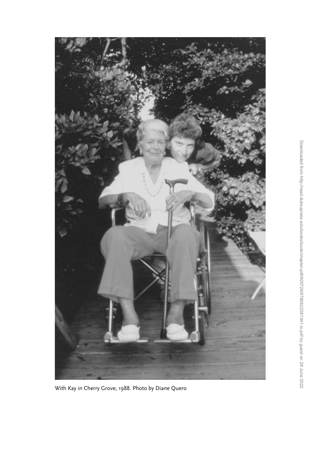

With Kay in Cherry Grove, 1988. Photo by Diane Quero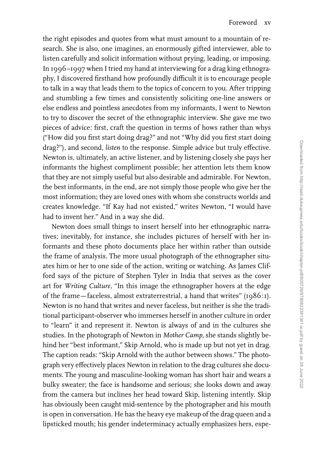the right episodes and quotes from what must amount to a mountain of research. She is also, one imagines, an enormously gifted interviewer, able to listen carefully and solicit information without prying, leading, or imposing. In 1996-1997 when I tried my hand at interviewing for a drag king ethnography, I discovered firsthand how profoundly difficult it is to encourage people to talk in a way that leads them to the topics of concern to you. After tripping and stumbling a few times and consistently soliciting one-line answers or else endless and pointless anecdotes from my informants, I went to Newton to try to discover the secret of the ethnographic interview. She gave me two pieces of advice: first, craft the question in terms of hows rather than whys (''How did you first start doing drag?'' and not ''Why did you first start doing drag?''), and second, listen to the response. Simple advice but truly effective. Newton is, ultimately, an active listener, and by listening closely she pays her informants the highest compliment possible; her attention lets them know that they are not simply useful but also desirable and admirable. For Newton, the best informants, in the end, are not simply those people who give her the most information; they are loved ones with whom she constructs worlds and creates knowledge. ''If Kay had not existed,'' writes Newton, ''I would have had to invent her.'' And in a way she did.

Newton does small things to insert herself into her ethnographic narratives; inevitably, for instance, she includes pictures of herself with her informants and these photo documents place her within rather than outside the frame of analysis. The more usual photograph of the ethnographer situates him or her to one side of the action, writing or watching. As James Clifford says of the picture of Stephen Tyler in India that serves as the cover art for Writing Culture, ''In this image the ethnographer hovers at the edge of the frame—faceless, almost extraterrestrial, a hand that writes"  $(1986:1)$ . Newton is no hand that writes and never faceless, but neither is she the traditional participant-observer who immerses herself in another culture in order to "learn" it and represent it. Newton is always of and in the cultures she studies. In the photograph of Newton in Mother Camp, she stands slightly behind her "best informant," Skip Arnold, who is made up but not yet in drag. The caption reads: ''Skip Arnold with the author between shows.'' The photograph very effectively places Newton in relation to the drag cultures she documents. The young and masculine-looking woman has short hair and wears a bulky sweater; the face is handsome and serious; she looks down and away from the camera but inclines her head toward Skip, listening intently. Skip has obviously been caught mid-sentence by the photographer and his mouth is open in conversation. He has the heavy eye makeup of the drag queen and a lipsticked mouth; his gender indeterminacy actually emphasizes hers, espe-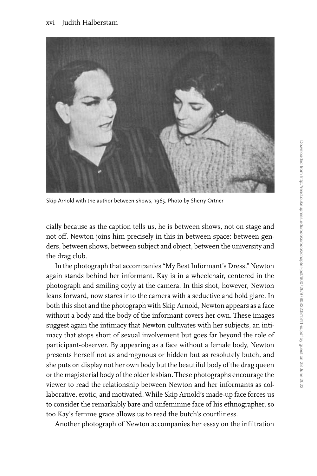

Skip Arnold with the author between shows, 1965. Photo by Sherry Ortner

cially because as the caption tells us, he is between shows, not on stage and not off. Newton joins him precisely in this in between space: between genders, between shows, between subject and object, between the university and the drag club.

In the photograph that accompanies ''My Best Informant's Dress,'' Newton again stands behind her informant. Kay is in a wheelchair, centered in the photograph and smiling coyly at the camera. In this shot, however, Newton leans forward, now stares into the camera with a seductive and bold glare. In both this shot and the photograph with Skip Arnold, Newton appears as a face without a body and the body of the informant covers her own. These images suggest again the intimacy that Newton cultivates with her subjects, an intimacy that stops short of sexual involvement but goes far beyond the role of participant-observer. By appearing as a face without a female body, Newton presents herself not as androgynous or hidden but as resolutely butch, and she puts on display not her own body but the beautiful body of the drag queen or the magisterial body of the older lesbian. These photographs encourage the viewer to read the relationship between Newton and her informants as collaborative, erotic, and motivated.While Skip Arnold's made-up face forces us to consider the remarkably bare and unfeminine face of his ethnographer, so too Kay's femme grace allows us to read the butch's courtliness.

Another photograph of Newton accompanies her essay on the infiltration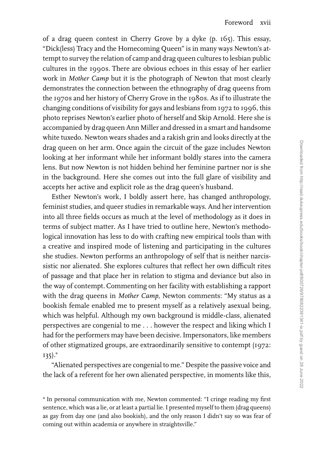of a drag queen contest in Cherry Grove by a dyke  $(p. 165)$ . This essay, "Dick(less) Tracy and the Homecoming Queen" is in many ways Newton's attempt to survey the relation of camp and drag queen cultures to lesbian public cultures in the 1990s. There are obvious echoes in this essay of her earlier work in Mother Camp but it is the photograph of Newton that most clearly demonstrates the connection between the ethnography of drag queens from the 1970s and her history of Cherry Grove in the 1980s. As if to illustrate the changing conditions of visibility for gays and lesbians from 1972 to 1996, this photo reprises Newton's earlier photo of herself and Skip Arnold. Here she is accompanied by drag queen Ann Miller and dressed in a smart and handsome white tuxedo. Newton wears shades and a rakish grin and looks directly at the drag queen on her arm. Once again the circuit of the gaze includes Newton looking at her informant while her informant boldly stares into the camera lens. But now Newton is not hidden behind her feminine partner nor is she in the background. Here she comes out into the full glare of visibility and accepts her active and explicit role as the drag queen's husband.

Esther Newton's work, I boldly assert here, has changed anthropology, feminist studies, and queer studies in remarkable ways. And her intervention into all three fields occurs as much at the level of methodology as it does in terms of subject matter. As I have tried to outline here, Newton's methodological innovation has less to do with crafting new empirical tools than with a creative and inspired mode of listening and participating in the cultures she studies. Newton performs an anthropology of self that is neither narcissistic nor alienated. She explores cultures that reflect her own difficult rites of passage and that place her in relation to stigma and deviance but also in the way of contempt. Commenting on her facility with establishing a rapport with the drag queens in Mother Camp, Newton comments: "My status as a bookish female enabled me to present myself as a relatively asexual being, which was helpful. Although my own background is middle-class, alienated perspectives are congenial to me...however the respect and liking which I had for the performers may have been decisive. Impersonators, like members of other stigmatized groups, are extraordinarily sensitive to contempt (:  $135$ ).\*

''Alienated perspectives are congenial to me.'' Despite the passive voice and the lack of a referent for her own alienated perspective, in moments like this,

<sup>\*</sup> In personal communication with me, Newton commented: ''I cringe reading my first sentence, which was a lie, or at least a partial lie. I presented myself to them (drag queens) as gay from day one (and also bookish), and the only reason I didn't say so was fear of coming out within academia or anywhere in straightsville.''